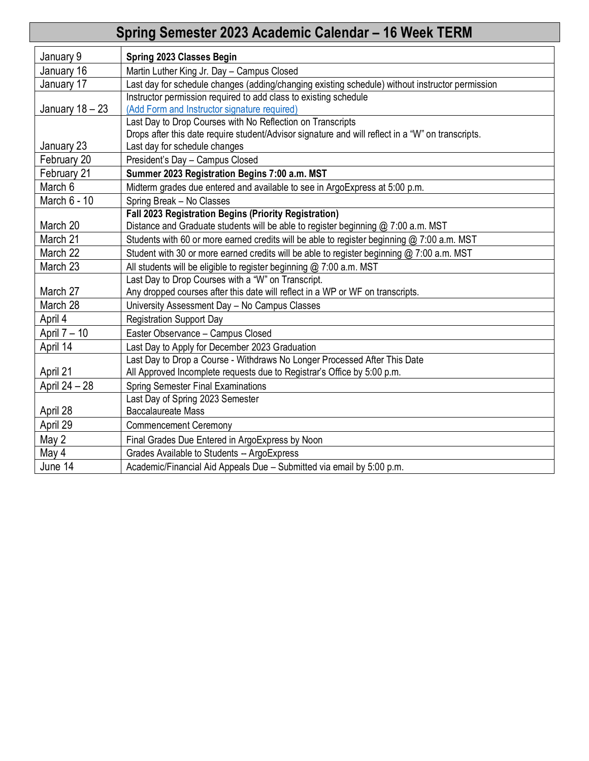| Spring Semester 2023 Academic Calendar - 16 Week TERM |                                                                                                   |  |  |  |
|-------------------------------------------------------|---------------------------------------------------------------------------------------------------|--|--|--|
| January 9                                             | Spring 2023 Classes Begin                                                                         |  |  |  |
| January 16                                            | Martin Luther King Jr. Day - Campus Closed                                                        |  |  |  |
| January 17                                            | Last day for schedule changes (adding/changing existing schedule) without instructor permission   |  |  |  |
|                                                       | Instructor permission required to add class to existing schedule                                  |  |  |  |
| January 18 - 23                                       | (Add Form and Instructor signature required)                                                      |  |  |  |
|                                                       | Last Day to Drop Courses with No Reflection on Transcripts                                        |  |  |  |
|                                                       | Drops after this date require student/Advisor signature and will reflect in a "W" on transcripts. |  |  |  |
| January 23                                            | Last day for schedule changes                                                                     |  |  |  |
| February 20                                           | President's Day - Campus Closed                                                                   |  |  |  |
| February 21                                           | Summer 2023 Registration Begins 7:00 a.m. MST                                                     |  |  |  |
| March 6                                               | Midterm grades due entered and available to see in ArgoExpress at 5:00 p.m.                       |  |  |  |
| March 6 - 10                                          | Spring Break - No Classes                                                                         |  |  |  |
|                                                       | Fall 2023 Registration Begins (Priority Registration)                                             |  |  |  |
| March 20                                              | Distance and Graduate students will be able to register beginning @ 7:00 a.m. MST                 |  |  |  |
| March 21                                              | Students with 60 or more earned credits will be able to register beginning @ 7:00 a.m. MST        |  |  |  |
| March 22                                              | Student with 30 or more earned credits will be able to register beginning @ 7:00 a.m. MST         |  |  |  |
| March 23                                              | All students will be eligible to register beginning @ 7:00 a.m. MST                               |  |  |  |
| March 27                                              | Last Day to Drop Courses with a "W" on Transcript.                                                |  |  |  |
| March 28                                              | Any dropped courses after this date will reflect in a WP or WF on transcripts.                    |  |  |  |
|                                                       | University Assessment Day - No Campus Classes                                                     |  |  |  |
| April 4                                               | <b>Registration Support Day</b>                                                                   |  |  |  |
| April 7 - 10                                          | Easter Observance - Campus Closed                                                                 |  |  |  |
| April 14                                              | Last Day to Apply for December 2023 Graduation                                                    |  |  |  |
| April 21                                              | Last Day to Drop a Course - Withdraws No Longer Processed After This Date                         |  |  |  |
|                                                       | All Approved Incomplete requests due to Registrar's Office by 5:00 p.m.                           |  |  |  |
| April 24 - 28                                         | <b>Spring Semester Final Examinations</b>                                                         |  |  |  |
| April 28                                              | Last Day of Spring 2023 Semester<br><b>Baccalaureate Mass</b>                                     |  |  |  |
| April 29                                              | <b>Commencement Ceremony</b>                                                                      |  |  |  |
|                                                       |                                                                                                   |  |  |  |
| May 2                                                 | Final Grades Due Entered in ArgoExpress by Noon                                                   |  |  |  |
| May 4                                                 | Grades Available to Students -- ArgoExpress                                                       |  |  |  |
| June 14                                               | Academic/Financial Aid Appeals Due - Submitted via email by 5:00 p.m.                             |  |  |  |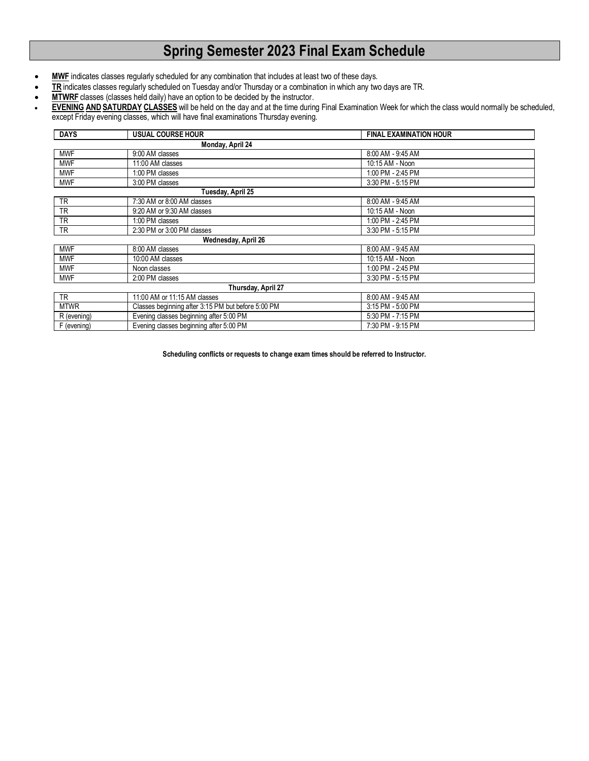# **Spring Semester 2023 Final Exam Schedule**

- MWF indicates classes regularly scheduled for any combination that includes at least two of these days.
- **TR** indicates classes regularly scheduled on Tuesday and/or Thursday or a combination in which any two days are TR.
- **MTWRF** classes (classes held daily) have an option to be decided by the instructor.
- **EVENING AND SATURDAY CLASSES** will be held on the day and at the time during Final Examination Week for which the class would normally be scheduled, except Friday evening classes, which will have final examinations Thursday evening.

| <b>DAYS</b> | <b>USUAL COURSE HOUR</b>                           | <b>FINAL EXAMINATION HOUR</b> |
|-------------|----------------------------------------------------|-------------------------------|
|             | Monday, April 24                                   |                               |
| <b>MWF</b>  | 9:00 AM classes                                    | 8:00 AM - 9:45 AM             |
| <b>MWF</b>  | 11:00 AM classes                                   | 10:15 AM - Noon               |
| <b>MWF</b>  | 1:00 PM classes                                    | 1:00 PM - 2:45 PM             |
| <b>MWF</b>  | 3:00 PM classes                                    | 3:30 PM - 5:15 PM             |
|             | Tuesday, April 25                                  |                               |
| <b>TR</b>   | 7:30 AM or 8:00 AM classes                         | 8:00 AM - 9:45 AM             |
| <b>TR</b>   | 9:20 AM or 9:30 AM classes                         | 10:15 AM - Noon               |
| <b>TR</b>   | 1:00 PM classes                                    | 1:00 PM - 2:45 PM             |
| <b>TR</b>   | 2:30 PM or 3:00 PM classes                         | 3:30 PM - 5:15 PM             |
|             | Wednesday, April 26                                |                               |
| <b>MWF</b>  | 8:00 AM classes                                    | 8:00 AM - 9:45 AM             |
| <b>MWF</b>  | 10:00 AM classes                                   | 10:15 AM - Noon               |
| <b>MWF</b>  | Noon classes                                       | 1:00 PM - 2:45 PM             |
| <b>MWF</b>  | 2:00 PM classes                                    | 3:30 PM - 5:15 PM             |
|             | Thursday, April 27                                 |                               |
| <b>TR</b>   | 11:00 AM or 11:15 AM classes                       | 8:00 AM - 9:45 AM             |
| <b>MTWR</b> | Classes beginning after 3:15 PM but before 5:00 PM | 3:15 PM - 5:00 PM             |
| R (evening) | Evening classes beginning after 5:00 PM            | 5:30 PM - 7:15 PM             |
| F (evening) | Evening classes beginning after 5:00 PM            | 7:30 PM - 9:15 PM             |

**Scheduling conflicts or requests to change exam times should be referred to Instructor.**